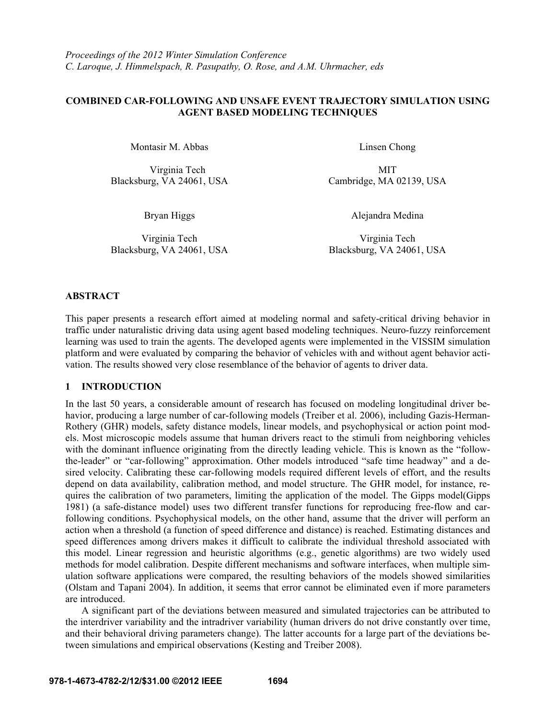## **COMBINED CAR-FOLLOWING AND UNSAFE EVENT TRAJECTORY SIMULATION USING AGENT BASED MODELING TECHNIQUES**

Montasir M. Abbas Linsen Chong

Virginia Tech MIT

Blacksburg, VA 24061, USA Cambridge, MA 02139, USA

Virginia Tech Blacksburg, VA 24061, USA

Bryan Higgs Alejandra Medina

Virginia Tech Blacksburg, VA 24061, USA

## **ABSTRACT**

This paper presents a research effort aimed at modeling normal and safety-critical driving behavior in traffic under naturalistic driving data using agent based modeling techniques. Neuro-fuzzy reinforcement learning was used to train the agents. The developed agents were implemented in the VISSIM simulation platform and were evaluated by comparing the behavior of vehicles with and without agent behavior activation. The results showed very close resemblance of the behavior of agents to driver data.

## **1 INTRODUCTION**

In the last 50 years, a considerable amount of research has focused on modeling longitudinal driver behavior, producing a large number of car-following models (Treiber et al. 2006), including Gazis-Herman-Rothery (GHR) models, safety distance models, linear models, and psychophysical or action point models. Most microscopic models assume that human drivers react to the stimuli from neighboring vehicles with the dominant influence originating from the directly leading vehicle. This is known as the "followthe-leader" or "car-following" approximation. Other models introduced "safe time headway" and a desired velocity. Calibrating these car-following models required different levels of effort, and the results depend on data availability, calibration method, and model structure. The GHR model, for instance, requires the calibration of two parameters, limiting the application of the model. The Gipps model(Gipps 1981) (a safe-distance model) uses two different transfer functions for reproducing free-flow and carfollowing conditions. Psychophysical models, on the other hand, assume that the driver will perform an action when a threshold (a function of speed difference and distance) is reached. Estimating distances and speed differences among drivers makes it difficult to calibrate the individual threshold associated with this model. Linear regression and heuristic algorithms (e.g., genetic algorithms) are two widely used methods for model calibration. Despite different mechanisms and software interfaces, when multiple simulation software applications were compared, the resulting behaviors of the models showed similarities (Olstam and Tapani 2004). In addition, it seems that error cannot be eliminated even if more parameters are introduced.

 A significant part of the deviations between measured and simulated trajectories can be attributed to the interdriver variability and the intradriver variability (human drivers do not drive constantly over time, and their behavioral driving parameters change). The latter accounts for a large part of the deviations between simulations and empirical observations (Kesting and Treiber 2008).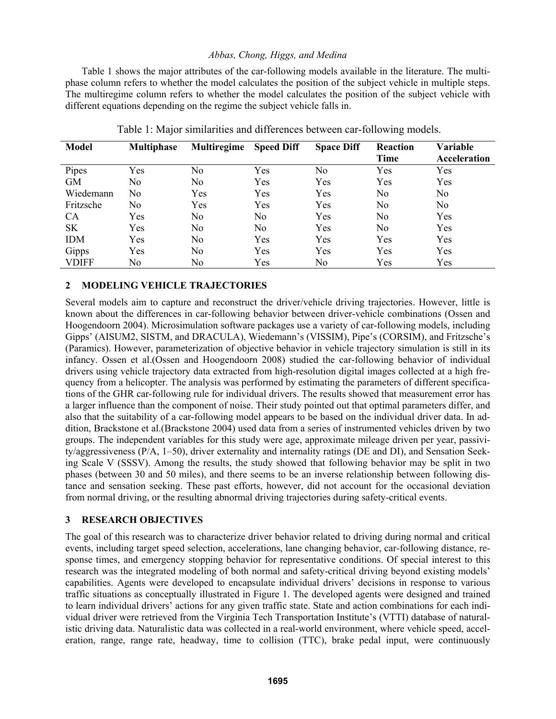Table 1 shows the major attributes of the car-following models available in the literature. The multiphase column refers to whether the model calculates the position of the subject vehicle in multiple steps. The multiregime column refers to whether the model calculates the position of the subject vehicle with different equations depending on the regime the subject vehicle falls in.

| <b>Model</b> | <b>Multiphase</b> | Multiregime    | <b>Speed Diff</b> | <b>Space Diff</b> | Reaction<br>Time | Variable<br>Acceleration |
|--------------|-------------------|----------------|-------------------|-------------------|------------------|--------------------------|
| Pipes        | Yes               | No.            | Yes               | No                | Yes              | Yes                      |
| <b>GM</b>    | No                | N <sub>0</sub> | Yes               | Yes               | Yes              | Yes                      |
| Wiedemann    | No                | Yes            | Yes               | Yes               | No               | No                       |
| Fritzsche    | No                | Yes            | Yes               | Yes               | No               | No                       |
| <b>CA</b>    | Yes               | N <sub>0</sub> | N <sub>0</sub>    | Yes               | N <sub>0</sub>   | Yes                      |
| <b>SK</b>    | Yes               | No             | No                | Yes               | No               | Yes                      |
| <b>IDM</b>   | Yes               | N <sub>0</sub> | Yes               | Yes               | Yes              | Yes                      |
| Gipps        | Yes               | N <sub>o</sub> | Yes               | Yes               | Yes              | Yes                      |
| <b>VDIFF</b> | No                | No.            | Yes               | No                | Yes              | Yes                      |

Table 1: Major similarities and differences between car-following models.

## **2 MODELING VEHICLE TRAJECTORIES**

Several models aim to capture and reconstruct the driver/vehicle driving trajectories. However, little is known about the differences in car-following behavior between driver-vehicle combinations (Ossen and Hoogendoorn 2004). Microsimulation software packages use a variety of car-following models, including Gipps' (AISUM2, SISTM, and DRACULA), Wiedemann's (VISSIM), Pipe's (CORSIM), and Fritzsche's (Paramics). However, parameterization of objective behavior in vehicle trajectory simulation is still in its infancy. Ossen et al.(Ossen and Hoogendoorn 2008) studied the car-following behavior of individual drivers using vehicle trajectory data extracted from high-resolution digital images collected at a high frequency from a helicopter. The analysis was performed by estimating the parameters of different specifications of the GHR car-following rule for individual drivers. The results showed that measurement error has a larger influence than the component of noise. Their study pointed out that optimal parameters differ, and also that the suitability of a car-following model appears to be based on the individual driver data. In addition, Brackstone et al.(Brackstone 2004) used data from a series of instrumented vehicles driven by two groups. The independent variables for this study were age, approximate mileage driven per year, passivity/aggressiveness (P/A, 1–50), driver externality and internality ratings (DE and DI), and Sensation Seeking Scale V (SSSV). Among the results, the study showed that following behavior may be split in two phases (between 30 and 50 miles), and there seems to be an inverse relationship between following distance and sensation seeking. These past efforts, however, did not account for the occasional deviation from normal driving, or the resulting abnormal driving trajectories during safety-critical events.

# **3 RESEARCH OBJECTIVES**

The goal of this research was to characterize driver behavior related to driving during normal and critical events, including target speed selection, accelerations, lane changing behavior, car-following distance, response times, and emergency stopping behavior for representative conditions. Of special interest to this research was the integrated modeling of both normal and safety-critical driving beyond existing models' capabilities. Agents were developed to encapsulate individual drivers' decisions in response to various traffic situations as conceptually illustrated in Figure 1. The developed agents were designed and trained to learn individual drivers' actions for any given traffic state. State and action combinations for each individual driver were retrieved from the Virginia Tech Transportation Institute's (VTTI) database of naturalistic driving data. Naturalistic data was collected in a real-world environment, where vehicle speed, acceleration, range, range rate, headway, time to collision (TTC), brake pedal input, were continuously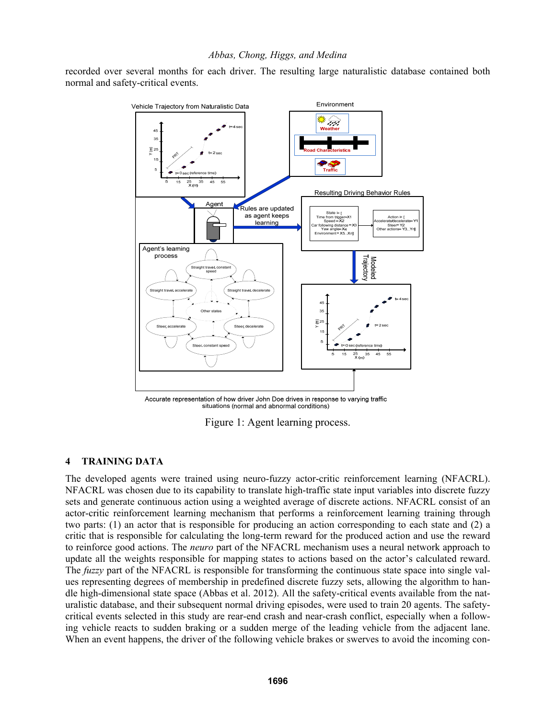recorded over several months for each driver. The resulting large naturalistic database contained both normal and safety-critical events.



Accurate representation of how driver John Doe drives in response to varying traffic situations (normal and abnormal conditions)

Figure 1: Agent learning process.

## **4 TRAINING DATA**

The developed agents were trained using neuro-fuzzy actor-critic reinforcement learning (NFACRL). NFACRL was chosen due to its capability to translate high-traffic state input variables into discrete fuzzy sets and generate continuous action using a weighted average of discrete actions. NFACRL consist of an actor-critic reinforcement learning mechanism that performs a reinforcement learning training through two parts: (1) an actor that is responsible for producing an action corresponding to each state and (2) a critic that is responsible for calculating the long-term reward for the produced action and use the reward to reinforce good actions. The *neuro* part of the NFACRL mechanism uses a neural network approach to update all the weights responsible for mapping states to actions based on the actor's calculated reward. The *fuzzy* part of the NFACRL is responsible for transforming the continuous state space into single values representing degrees of membership in predefined discrete fuzzy sets, allowing the algorithm to handle high-dimensional state space (Abbas et al. 2012). All the safety-critical events available from the naturalistic database, and their subsequent normal driving episodes, were used to train 20 agents. The safetycritical events selected in this study are rear-end crash and near-crash conflict, especially when a following vehicle reacts to sudden braking or a sudden merge of the leading vehicle from the adjacent lane. When an event happens, the driver of the following vehicle brakes or swerves to avoid the incoming con-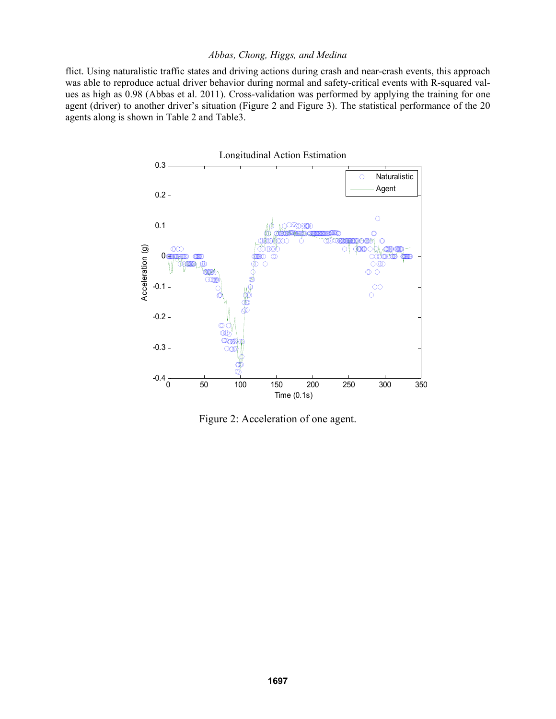flict. Using naturalistic traffic states and driving actions during crash and near-crash events, this approach was able to reproduce actual driver behavior during normal and safety-critical events with R-squared values as high as 0.98 (Abbas et al. 2011). Cross-validation was performed by applying the training for one agent (driver) to another driver's situation (Figure 2 and Figure 3). The statistical performance of the 20 agents along is shown in Table 2 and Table3.



Figure 2: Acceleration of one agent.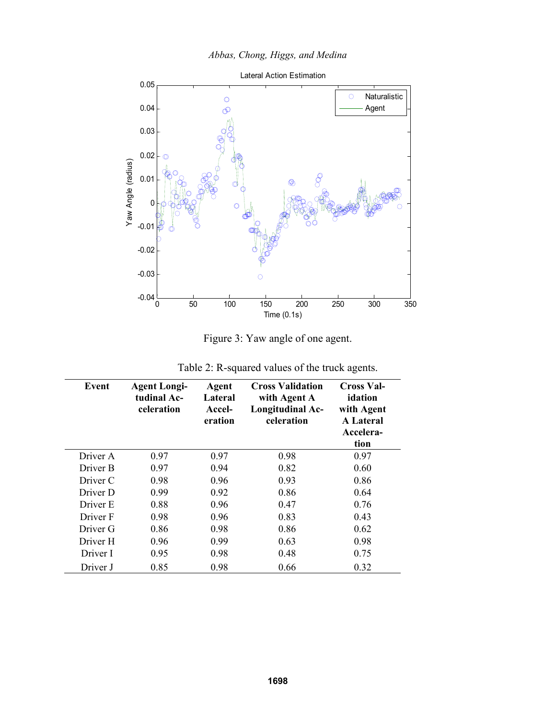



Figure 3: Yaw angle of one agent.

| Event    | <b>Agent Longi-</b><br>tudinal Ac-<br>celeration | <b>Agent</b><br>Lateral<br>Accel-<br>eration | <b>Cross Validation</b><br>with Agent A<br>Longitudinal Ac-<br>celeration | <b>Cross Val-</b><br>idation<br>with Agent<br><b>A</b> Lateral<br>Accelera-<br>tion |
|----------|--------------------------------------------------|----------------------------------------------|---------------------------------------------------------------------------|-------------------------------------------------------------------------------------|
| Driver A | 0.97                                             | 0.97                                         | 0.98                                                                      | 0.97                                                                                |
| Driver B | 0.97                                             | 0.94                                         | 0.82                                                                      | 0.60                                                                                |
| Driver C | 0.98                                             | 0.96                                         | 0.93                                                                      | 0.86                                                                                |
| Driver D | 0.99                                             | 0.92                                         | 0.86                                                                      | 0.64                                                                                |
| Driver E | 0.88                                             | 0.96                                         | 0.47                                                                      | 0.76                                                                                |
| Driver F | 0.98                                             | 0.96                                         | 0.83                                                                      | 0.43                                                                                |
| Driver G | 0.86                                             | 0.98                                         | 0.86                                                                      | 0.62                                                                                |
| Driver H | 0.96                                             | 0.99                                         | 0.63                                                                      | 0.98                                                                                |
| Driver I | 0.95                                             | 0.98                                         | 0.48                                                                      | 0.75                                                                                |
| Driver J | 0.85                                             | 0.98                                         | 0.66                                                                      | 0.32                                                                                |

Table 2: R-squared values of the truck agents.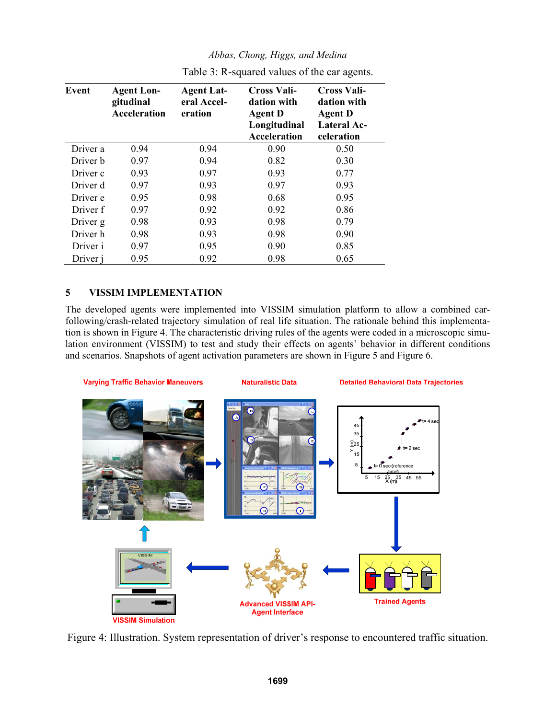| Event    | <b>Agent Lon-</b><br>gitudinal<br><b>Acceleration</b> | <b>Agent Lat-</b><br>eral Accel-<br>eration | Cross Vali-<br>dation with<br><b>Agent D</b><br>Longitudinal<br>Acceleration | <b>Cross Vali-</b><br>dation with<br><b>Agent D</b><br>Lateral Ac-<br>celeration |
|----------|-------------------------------------------------------|---------------------------------------------|------------------------------------------------------------------------------|----------------------------------------------------------------------------------|
| Driver a | 0.94                                                  | 0.94                                        | 0.90                                                                         | 0.50                                                                             |
| Driver b | 0.97                                                  | 0.94                                        | 0.82                                                                         | 0.30                                                                             |
| Driver c | 0.93                                                  | 0.97                                        | 0.93                                                                         | 0.77                                                                             |
| Driver d | 0.97                                                  | 0.93                                        | 0.97                                                                         | 0.93                                                                             |
| Driver e | 0.95                                                  | 0.98                                        | 0.68                                                                         | 0.95                                                                             |
| Driver f | 0.97                                                  | 0.92                                        | 0.92                                                                         | 0.86                                                                             |
| Driver g | 0.98                                                  | 0.93                                        | 0.98                                                                         | 0.79                                                                             |
| Driver h | 0.98                                                  | 0.93                                        | 0.98                                                                         | 0.90                                                                             |
| Driver i | 0.97                                                  | 0.95                                        | 0.90                                                                         | 0.85                                                                             |
| Driver i | 0.95                                                  | 0.92                                        | 0.98                                                                         | 0.65                                                                             |

Table 3: R-squared values of the car agents.

## **5 VISSIM IMPLEMENTATION**

The developed agents were implemented into VISSIM simulation platform to allow a combined carfollowing/crash-related trajectory simulation of real life situation. The rationale behind this implementation is shown in Figure 4. The characteristic driving rules of the agents were coded in a microscopic simulation environment (VISSIM) to test and study their effects on agents' behavior in different conditions and scenarios. Snapshots of agent activation parameters are shown in Figure 5 and Figure 6.



Figure 4: Illustration. System representation of driver's response to encountered traffic situation.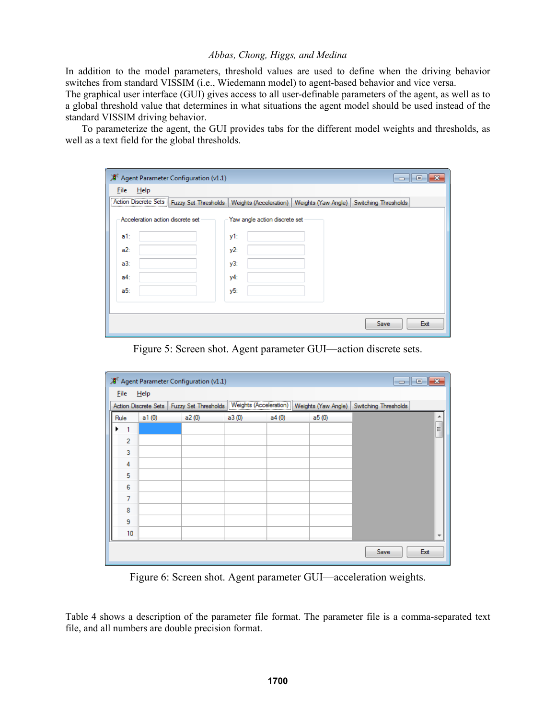In addition to the model parameters, threshold values are used to define when the driving behavior switches from standard VISSIM (i.e., Wiedemann model) to agent-based behavior and vice versa.

The graphical user interface (GUI) gives access to all user-definable parameters of the agent, as well as to a global threshold value that determines in what situations the agent model should be used instead of the standard VISSIM driving behavior.

 To parameterize the agent, the GUI provides tabs for the different model weights and thresholds, as well as a text field for the global thresholds.

| $\mathcal{A}^{\mathsf{K}}$ Agent Parameter Configuration (v1.1) |                                                                                                                      |
|-----------------------------------------------------------------|----------------------------------------------------------------------------------------------------------------------|
| $He$ lp<br><b>Eile</b>                                          |                                                                                                                      |
|                                                                 | Action Discrete Sets   Fuzzy Set Thresholds   Weights (Acceleration)   Weights (Yaw Angle)  <br>Switching Thresholds |
| Acceleration action discrete set                                | Yaw angle action discrete set                                                                                        |
| $a1$ :                                                          | y1:                                                                                                                  |
| a2:                                                             | y2:                                                                                                                  |
| a3:                                                             | y3:                                                                                                                  |
| $a4$ :                                                          | y4:                                                                                                                  |
| a5:                                                             | y5:                                                                                                                  |
|                                                                 |                                                                                                                      |
|                                                                 | Exit<br>Save                                                                                                         |

Figure 5: Screen shot. Agent parameter GUI—action discrete sets.

|                |       | XI Agent Parameter Configuration (v1.1)     |       |                        |                     | <u>- 10</u>          | $\parallel x$            |
|----------------|-------|---------------------------------------------|-------|------------------------|---------------------|----------------------|--------------------------|
| <b>Eile</b>    | Help  |                                             |       |                        |                     |                      |                          |
|                |       | Action Discrete Sets   Fuzzy Set Thresholds |       | Weights (Acceleration) | Weights (Yaw Angle) | Switching Thresholds |                          |
| Rule           | a1(0) | a2(0)                                       | a3(0) | a4(0)                  | a5(0)               |                      | ۰                        |
| ▶<br>1         |       |                                             |       |                        |                     |                      | $\overline{a}$           |
| $\overline{2}$ |       |                                             |       |                        |                     |                      |                          |
| 3              |       |                                             |       |                        |                     |                      |                          |
| 4              |       |                                             |       |                        |                     |                      |                          |
| 5              |       |                                             |       |                        |                     |                      |                          |
| 6              |       |                                             |       |                        |                     |                      |                          |
| $\overline{7}$ |       |                                             |       |                        |                     |                      |                          |
| 8              |       |                                             |       |                        |                     |                      |                          |
| 9              |       |                                             |       |                        |                     |                      |                          |
| 10             |       |                                             |       |                        |                     |                      | $\overline{\phantom{a}}$ |
|                |       |                                             |       |                        |                     | Save<br>Exit         |                          |

Figure 6: Screen shot. Agent parameter GUI—acceleration weights.

Table 4 shows a description of the parameter file format. The parameter file is a comma-separated text file, and all numbers are double precision format.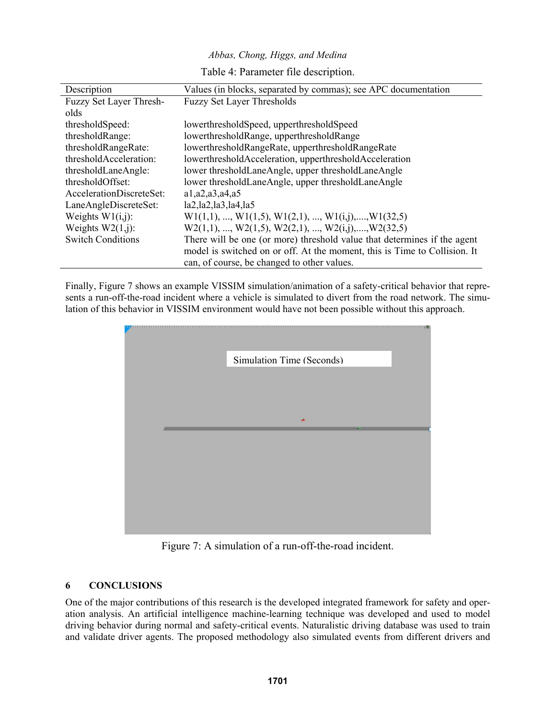|  |  |  |  | Abbas, Chong, Higgs, and Medina |
|--|--|--|--|---------------------------------|
|--|--|--|--|---------------------------------|

Table 4: Parameter file description.

| Description              | Values (in blocks, separated by commas); see APC documentation            |
|--------------------------|---------------------------------------------------------------------------|
| Fuzzy Set Layer Thresh-  | <b>Fuzzy Set Layer Thresholds</b>                                         |
| olds                     |                                                                           |
| thresholdSpeed:          | lowerthresholdSpeed, upperthresholdSpeed                                  |
| thresholdRange:          | lowerthresholdRange, upperthresholdRange                                  |
| thresholdRangeRate:      | lowerthresholdRangeRate, upperthresholdRangeRate                          |
| thresholdAcceleration:   | lowerthresholdAcceleration, upperthresholdAcceleration                    |
| thresholdLaneAngle:      | lower thresholdLaneAngle, upper thresholdLaneAngle                        |
| thresholdOffset:         | lower thresholdLaneAngle, upper thresholdLaneAngle                        |
| AccelerationDiscreteSet: | a1, a2, a3, a4, a5                                                        |
| LaneAngleDiscreteSet:    | la2, la2, la3, la4, la5                                                   |
| Weights $W1(i,j)$ :      | $W1(1,1), , W1(1,5), W1(2,1), , W1(i,j), , W1(32,5)$                      |
| Weights $W2(1,i)$ :      | $W2(1,1), , W2(1,5), W2(2,1), , W2(i,j), , W2(32,5)$                      |
| <b>Switch Conditions</b> | There will be one (or more) threshold value that determines if the agent  |
|                          | model is switched on or off. At the moment, this is Time to Collision. It |
|                          | can, of course, be changed to other values.                               |

Finally, Figure 7 shows an example VISSIM simulation/animation of a safety-critical behavior that represents a run-off-the-road incident where a vehicle is simulated to divert from the road network. The simulation of this behavior in VISSIM environment would have not been possible without this approach.



Figure 7: A simulation of a run-off-the-road incident.

# **6 CONCLUSIONS**

One of the major contributions of this research is the developed integrated framework for safety and operation analysis. An artificial intelligence machine-learning technique was developed and used to model driving behavior during normal and safety-critical events. Naturalistic driving database was used to train and validate driver agents. The proposed methodology also simulated events from different drivers and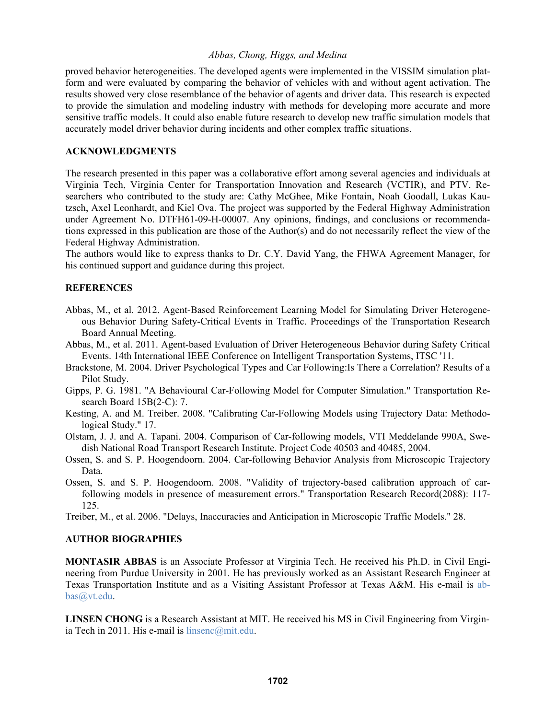proved behavior heterogeneities. The developed agents were implemented in the VISSIM simulation platform and were evaluated by comparing the behavior of vehicles with and without agent activation. The results showed very close resemblance of the behavior of agents and driver data. This research is expected to provide the simulation and modeling industry with methods for developing more accurate and more sensitive traffic models. It could also enable future research to develop new traffic simulation models that accurately model driver behavior during incidents and other complex traffic situations.

## **ACKNOWLEDGMENTS**

The research presented in this paper was a collaborative effort among several agencies and individuals at Virginia Tech, Virginia Center for Transportation Innovation and Research (VCTIR), and PTV. Researchers who contributed to the study are: Cathy McGhee, Mike Fontain, Noah Goodall, Lukas Kautzsch, Axel Leonhardt, and Kiel Ova. The project was supported by the Federal Highway Administration under Agreement No. DTFH61-09-H-00007. Any opinions, findings, and conclusions or recommendations expressed in this publication are those of the Author(s) and do not necessarily reflect the view of the Federal Highway Administration.

The authors would like to express thanks to Dr. C.Y. David Yang, the FHWA Agreement Manager, for his continued support and guidance during this project.

## **REFERENCES**

- Abbas, M., et al. 2012. Agent-Based Reinforcement Learning Model for Simulating Driver Heterogeneous Behavior During Safety-Critical Events in Traffic. Proceedings of the Transportation Research Board Annual Meeting.
- Abbas, M., et al. 2011. Agent-based Evaluation of Driver Heterogeneous Behavior during Safety Critical Events. 14th International IEEE Conference on Intelligent Transportation Systems, ITSC '11.
- Brackstone, M. 2004. Driver Psychological Types and Car Following:Is There a Correlation? Results of a Pilot Study.
- Gipps, P. G. 1981. "A Behavioural Car-Following Model for Computer Simulation." Transportation Research Board 15B(2-C): 7.
- Kesting, A. and M. Treiber. 2008. "Calibrating Car-Following Models using Trajectory Data: Methodological Study." 17.
- Olstam, J. J. and A. Tapani. 2004. Comparison of Car-following models, VTI Meddelande 990A, Swedish National Road Transport Research Institute. Project Code 40503 and 40485, 2004.
- Ossen, S. and S. P. Hoogendoorn. 2004. Car-following Behavior Analysis from Microscopic Trajectory Data.
- Ossen, S. and S. P. Hoogendoorn. 2008. "Validity of trajectory-based calibration approach of carfollowing models in presence of measurement errors." Transportation Research Record(2088): 117- 125.
- Treiber, M., et al. 2006. "Delays, Inaccuracies and Anticipation in Microscopic Traffic Models." 28.

## **AUTHOR BIOGRAPHIES**

**MONTASIR ABBAS** is an Associate Professor at Virginia Tech. He received his Ph.D. in Civil Engineering from Purdue University in 2001. He has previously worked as an Assistant Research Engineer at Texas Transportation Institute and as a Visiting Assistant Professor at Texas A&M. His e-mail is abbas@vt.edu.

**LINSEN CHONG** is a Research Assistant at MIT. He received his MS in Civil Engineering from Virginia Tech in 2011. His e-mail is  $l$ insenc $@$ mit.edu.